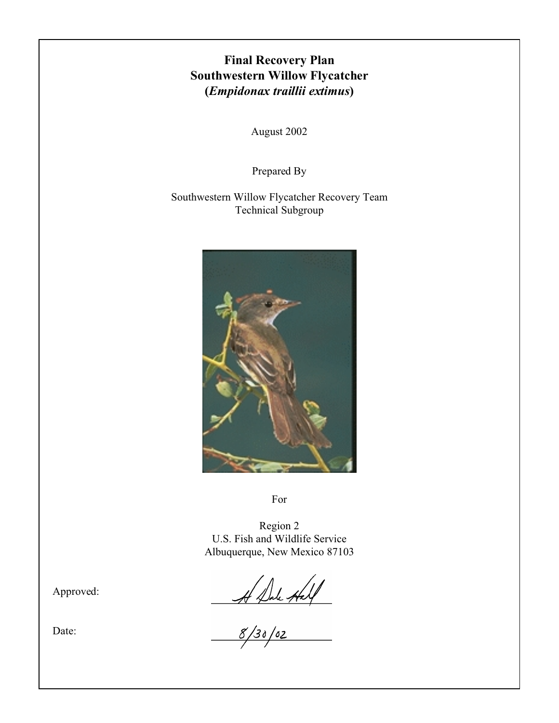# **Final Recovery Plan Southwestern Willow Flycatcher (***Empidonax traillii extimus***)**

August 2002

Prepared By

Southwestern Willow Flycatcher Recovery Team Technical Subgroup



For

Region 2 U.S. Fish and Wildlife Service Albuquerque, New Mexico 87103

 $44244$ 

Approved:

Date: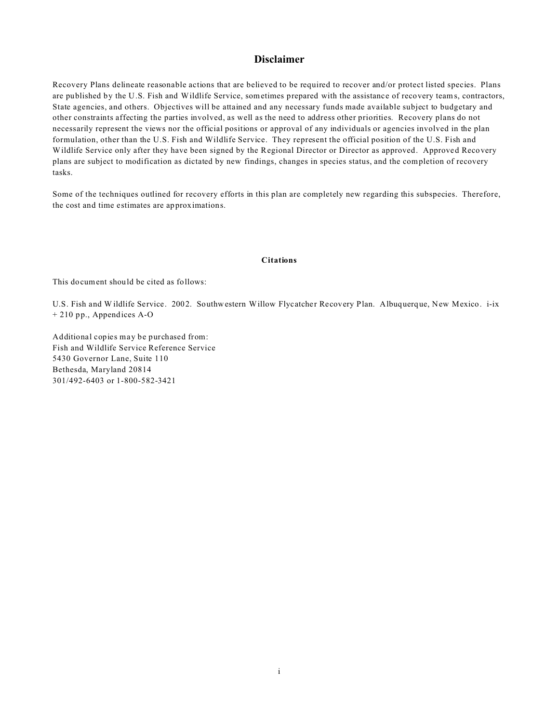## **Disclaimer**

Recovery Plans delineate reasonable actions that are believed to be required to recover and/or protect listed species. Plans are published by the U.S. Fish and Wildlife Service, sometimes prepared with the assistance of recovery teams, contractors, State agencies, and others. Objectives will be attained and any necessary funds made available subject to budgetary and other constraints affecting the parties involved, as well as the need to address other priorities. Recovery plans do not necessarily represent the views nor the official positions or approval of any individuals or agencies involved in the plan formulation, other than the U.S. Fish and Wildlife Service. They represent the official position of the U.S. Fish and Wildlife Service only after they have been signed by the Regional Director or Director as approved. Approved Recovery plans are subject to modification as dictated by new findings, changes in species status, and the completion of recovery tasks.

Some of the techniques outlined for recovery efforts in this plan are completely new regarding this subspecies. Therefore, the cost and time estimates are approximations.

#### **Citations**

This document should be cited as follows:

U.S. Fish and W ildlife Service. 2002. Southwestern Willow Flycatcher Recovery Plan. Albuquerque, New Mexico. i-ix + 210 pp., Appendices A-O

Additional copies may be purchased from: Fish and Wildlife Service Reference Service 5430 Governor Lane, Suite 110 Bethesda, Maryland 20814 301/492-6403 or 1-800-582-3421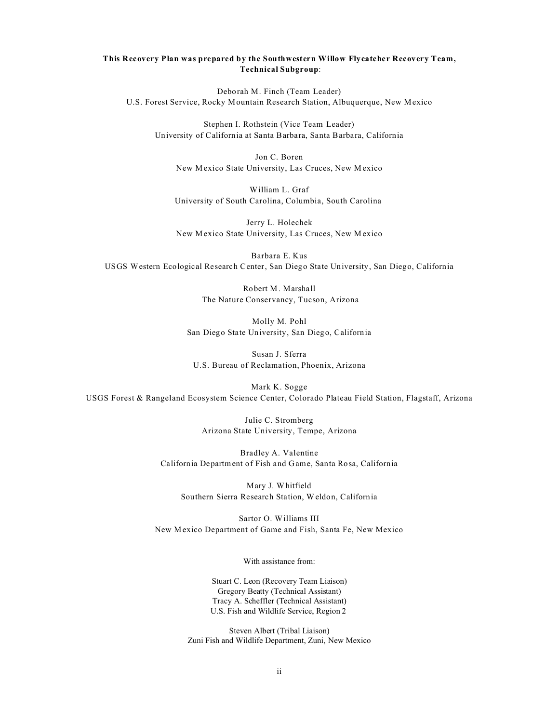### **This Recovery Plan was prepared by the Southwestern Willow Flycatcher Recovery Team, Technical Subgroup**:

Deborah M. Finch (Team Leader) U.S. Forest Service, Rocky Mountain Research Station, Albuquerque, New Mexico

Stephen I. Rothstein (Vice Team Leader) University of California at Santa Barbara, Santa Barbara, California

Jon C. Boren New Mexico State University, Las Cruces, New Mexico

William L. Graf University of South Carolina, Columbia, South Carolina

Jerry L. Holechek New Mexico State University, Las Cruces, New Mexico

Barbara E. Kus USGS Western Ecological Research Center, San Diego State University, San Diego, California

> Robert M. Marshall The Nature Conservancy, Tucson, Arizona

Molly M. Pohl San Diego State University, San Diego, California

Susan J. Sferra U.S. Bureau of Reclamation, Phoenix, Arizona

Mark K. Sogge USGS Forest & Rangeland Ecosystem Science Center, Colorado Plateau Field Station, Flagstaff, Arizona

> Julie C. Stromberg Arizona State University, Tempe, Arizona

Bradley A. Valentine California Department of Fish and Game, Santa Rosa, California

Mary J. Whitfield Southern Sierra Research Station, Weldon, California

Sartor O. Williams III New Mexico Department of Game and Fish, Santa Fe, New Mexico

With assistance from:

Stuart C. Leon (Recovery Team Liaison) Gregory Beatty (Technical Assistant) Tracy A. Scheffler (Technical Assistant) U.S. Fish and Wildlife Service, Region 2

Steven Albert (Tribal Liaison) Zuni Fish and Wildlife Department, Zuni, New Mexico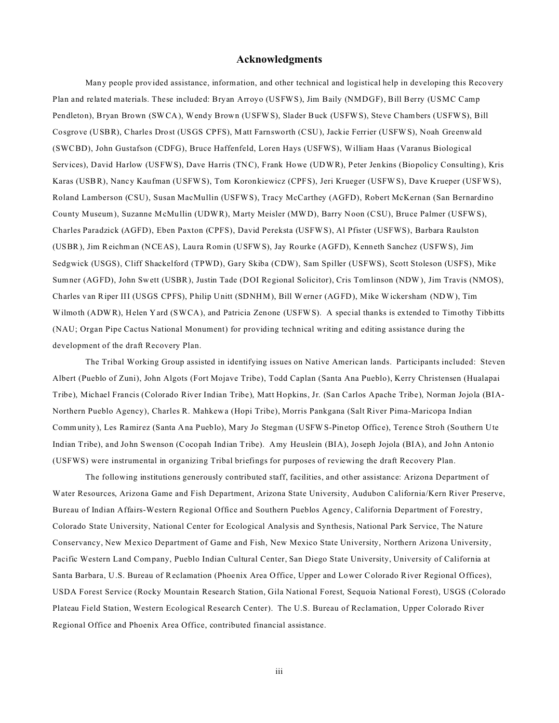## **Acknowledgments**

Many people provided assistance, information, and other technical and logistical help in developing this Recovery Plan and related materials. These included: Bryan Arroyo (USFWS), Jim Baily (NMDGF), Bill Berry (USMC Camp Pendleton), Bryan Brown (SWCA), Wendy Brown (USFWS), Slader Buck (USFWS), Steve Chambers (USFWS), Bill Cosgrove (USBR), Charles Drost (USGS CPFS), Matt Farnsworth (CSU), Jackie Ferrier (USFWS), Noah Greenwald (SWCBD), John Gustafson (CDFG), Bruce Haffenfeld, Loren Hays (USFWS), William Haas (Varanus Biological Services), David Harlow (USFWS), Dave Harris (TNC), Frank Howe (UDWR), Peter Jenkins (Biopolicy Consulting), Kris Karas (USBR), Nancy Kaufman (USFWS), Tom Koronkiewicz (CPFS), Jeri Krueger (USFWS), Dave Krueper (USFWS), Roland Lamberson (CSU), Susan MacMullin (USFWS), Tracy McCarthey (AGFD), Robert McKernan (San Bernardino County Museum), Suzanne McMullin (UDWR), Marty Meisler (MWD), Barry Noon (CSU), Bruce Palmer (USFWS), Charles Paradzick (AGFD), Eben Paxton (CPFS), David Pereksta (USFWS), Al Pfister (USFWS), Barbara Raulston (USBR), Jim Reichman (NCEAS), Laura Romin (USFWS), Jay Rourke (AGFD), Kenneth Sanchez (USFWS), Jim Sedgwick (USGS), Cliff Shackelford (TPWD), Gary Skiba (CDW), Sam Spiller (USFWS), Scott Stoleson (USFS), Mike Sumner (AGFD), John Swett (USBR), Justin Tade (DOI Regional Solicitor), Cris Tomlinson (NDW), Jim Travis (NMOS), Charles van Riper III (USGS CPFS), Philip Unitt (SDNHM), Bill Werner (AGFD), Mike Wickersham (NDW), Tim Wilmoth (ADWR), Helen Yard (SWCA), and Patricia Zenone (USFWS). A special thanks is extended to Timothy Tibbitts (NAU; Organ Pipe Cactus National Monument) for providing technical writing and editing assistance during the development of the draft Recovery Plan.

The Tribal Working Group assisted in identifying issues on Native American lands. Participants included: Steven Albert (Pueblo of Zuni), John Algots (Fort Mojave Tribe), Todd Caplan (Santa Ana Pueblo), Kerry Christensen (Hualapai Tribe), Michael Francis (Colorado River Indian Tribe), Matt Hopkins, Jr. (San Carlos Apache Tribe), Norman Jojola (BIA-Northern Pueblo Agency), Charles R. Mahkewa (Hopi Tribe), Morris Pankgana (Salt River Pima-Maricopa Indian Community), Les Ramirez (Santa Ana Pueblo), Mary Jo Stegman (USFWS-Pinetop Office), Terence Stroh (Southern Ute Indian Tribe), and John Swenson (Cocopah Indian Tribe). Amy Heuslein (BIA), Joseph Jojola (BIA), and John Antonio (USFWS) were instrumental in organizing Tribal briefings for purposes of reviewing the draft Recovery Plan.

The following institutions generously contributed staff, facilities, and other assistance: Arizona Department of Water Resources, Arizona Game and Fish Department, Arizona State University, Audubon California/Kern River Preserve, Bureau of Indian Affairs-Western Regional Office and Southern Pueblos Agency, California Department of Forestry, Colorado State University, National Center for Ecological Analysis and Synthesis, National Park Service, The Nature Conservancy, New Mexico Department of Game and Fish, New Mexico State University, Northern Arizona University, Pacific Western Land Company, Pueblo Indian Cultural Center, San Diego State University, University of California at Santa Barbara, U.S. Bureau of Reclamation (Phoenix Area Office, Upper and Lower Colorado River Regional Offices), USDA Forest Service (Rocky Mountain Research Station, Gila National Forest, Sequoia National Forest), USGS (Colorado Plateau Field Station, Western Ecological Research Center). The U.S. Bureau of Reclamation, Upper Colorado River Regional Office and Phoenix Area Office, contributed financial assistance.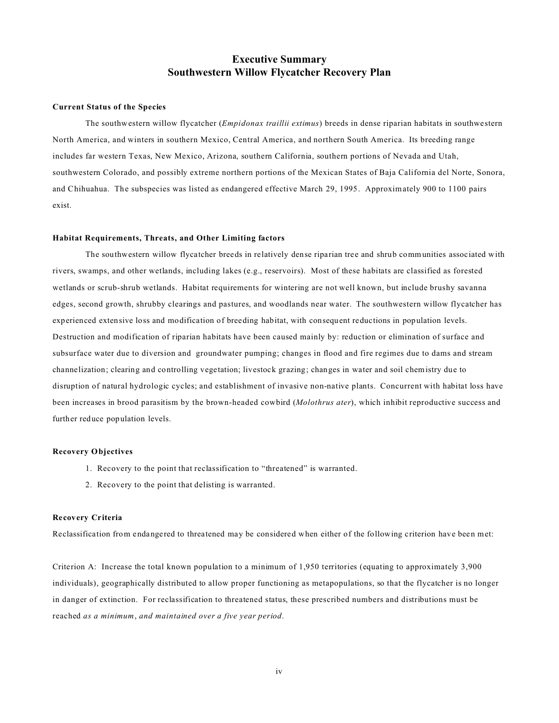# **Executive Summary Southwestern Willow Flycatcher Recovery Plan**

#### **Current Status of the Species**

The southwestern willow flycatcher (*Empidonax traillii extimus*) breeds in dense riparian habitats in southwestern North America, and winters in southern Mexico, Central America, and northern South America. Its breeding range includes far western Texas, New Mexico, Arizona, southern California, southern portions of Nevada and Utah, southwestern Colorado, and possibly extreme northern portions of the Mexican States of Baja California del Norte, Sonora, and Chihuahua. The subspecies was listed as endangered effective March 29, 1995. Approximately 900 to 1100 pairs exist.

#### **Habitat Requirements, Threats, and Other Limiting factors**

The southwestern willow flycatcher breeds in relatively dense riparian tree and shrub communities associated with rivers, swamps, and other wetlands, including lakes (e.g., reservoirs). Most of these habitats are classified as forested wetlands or scrub-shrub wetlands. Habitat requirements for wintering are not well known, but include brushy savanna edges, second growth, shrubby clearings and pastures, and woodlands near water. The southwestern willow flycatcher has experienced extensive loss and modification of breeding habitat, with consequent reductions in population levels. Destruction and modification of riparian habitats have been caused mainly by: reduction or elimination of surface and subsurface water due to diversion and groundwater pumping; changes in flood and fire regimes due to dams and stream channelization; clearing and controlling vegetation; livestock grazing; changes in water and soil chemistry due to disruption of natural hydrologic cycles; and establishment of invasive non-native plants. Concurrent with habitat loss have been increases in brood parasitism by the brown-headed cowbird (*Molothrus ater*), which inhibit reproductive success and further reduce population levels.

#### **Recovery Objectives**

- 1. Recovery to the point that reclassification to "threatened" is warranted.
- 2. Recovery to the point that delisting is warranted.

#### **Recovery Criteria**

Reclassification from endangered to threatened may be considered when either of the following criterion have been met:

Criterion A: Increase the total known population to a minimum of 1,950 territories (equating to approximately 3,900 individuals), geographically distributed to allow proper functioning as metapopulations, so that the flycatcher is no longer in danger of extinction. For reclassification to threatened status, these prescribed numbers and distributions must be reached *as a minimum*, *and maintained over a five year period*.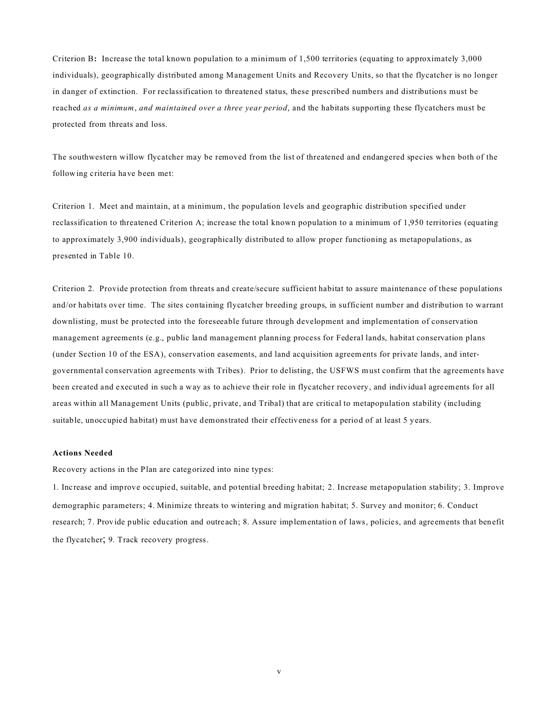Criterion B**:** Increase the total known population to a minimum of 1,500 territories (equating to approximately 3,000 individuals), geographically distributed among Management Units and Recovery Units, so that the flycatcher is no longer in danger of extinction. For reclassification to threatened status, these prescribed numbers and distributions must be reached *as a minimum*, *and maintained over a three year period*, and the habitats supporting these flycatchers must be protected from threats and loss.

The southwestern willow flycatcher may be removed from the list of threatened and endangered species when both of the following criteria have been met:

Criterion 1. Meet and maintain, at a minimum, the population levels and geographic distribution specified under reclassification to threatened Criterion A; increase the total known population to a minimum of 1,950 territories (equating to approximately 3,900 individuals), geographically distributed to allow proper functioning as metapopulations, as presented in Table 10.

Criterion 2. Provide protection from threats and create/secure sufficient habitat to assure maintenance of these populations and/or habitats over time. The sites containing flycatcher breeding groups, in sufficient number and distribution to warrant downlisting, must be protected into the foreseeable future through development and implementation of conservation management agreements (e.g., public land management planning process for Federal lands, habitat conservation plans (under Section 10 of the ESA), conservation easements, and land acquisition agreements for private lands, and intergovernmental conservation agreements with Tribes). Prior to delisting, the USFWS must confirm that the agreements have been created and executed in such a way as to achieve their role in flycatcher recovery, and individual agreements for all areas within all Management Units (public, private, and Tribal) that are critical to metapopulation stability (including suitable, unoccupied habitat) must have demonstrated their effectiveness for a period of at least 5 years.

#### **Actions Needed**

Recovery actions in the Plan are categorized into nine types:

1. Increase and improve occupied, suitable, and potential breeding habitat; 2. Increase metapopulation stability; 3. Improve demographic parameters; 4. Minimize threats to wintering and migration habitat; 5. Survey and monitor; 6. Conduct research; 7. Provide public education and outreach; 8. Assure implementation of laws, policies, and agreements that benefit the flycatcher; 9. Track recovery progress.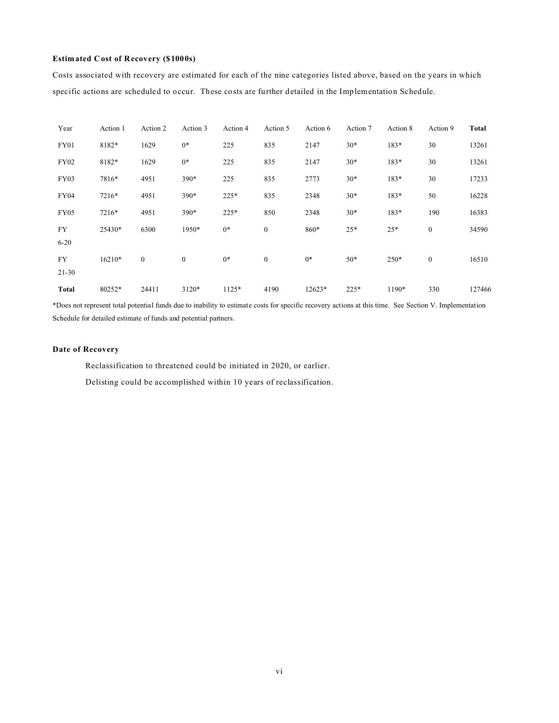### **Estimated Cost of Recovery (\$1000s)**

Costs associated with recovery are estimated for each of the nine categories listed above, based on the years in which specific actions are scheduled to occur. These costs are further detailed in the Implementation Schedule.

| Year                   | Action 1 | Action 2     | Action 3     | Action 4 | Action 5         | Action 6 | Action 7 | Action 8 | Action 9         | <b>Total</b> |
|------------------------|----------|--------------|--------------|----------|------------------|----------|----------|----------|------------------|--------------|
| FY01                   | 8182*    | 1629         | $0*$         | 225      | 835              | 2147     | $30*$    | 183*     | 30               | 13261        |
| <b>FY02</b>            | 8182*    | 1629         | $0*$         | 225      | 835              | 2147     | $30*$    | 183*     | 30               | 13261        |
| <b>FY03</b>            | 7816*    | 4951         | 390*         | 225      | 835              | 2773     | $30*$    | 183*     | 30               | 17233        |
| <b>FY04</b>            | 7216*    | 4951         | 390*         | 225*     | 835              | 2348     | $30*$    | 183*     | 50               | 16228        |
| FY05                   | 7216*    | 4951         | $390*$       | 225*     | 850              | 2348     | $30*$    | 183*     | 190              | 16383        |
| <b>FY</b><br>$6 - 20$  | 25430*   | 6300         | 1950*        | $0*$     | $\boldsymbol{0}$ | 860*     | $25*$    | $25*$    | $\boldsymbol{0}$ | 34590        |
| <b>FY</b><br>$21 - 30$ | 16210*   | $\mathbf{0}$ | $\mathbf{0}$ | $0*$     | $\boldsymbol{0}$ | $0*$     | $50*$    | 250*     | $\boldsymbol{0}$ | 16510        |
| <b>Total</b>           | 80252*   | 24411        | 3120*        | 1125*    | 4190             | 12623*   | $225*$   | 1190*    | 330              | 127466       |

\*Does not represent total potential funds due to inability to estimate costs for specific recovery actions at this time. See Section V. Implementation Schedule for detailed estimate of funds and potential partners.

#### **Date of Recovery**

Reclassification to threatened could be initiated in 2020, or earlier.

Delisting could be accomplished within 10 years of reclassification.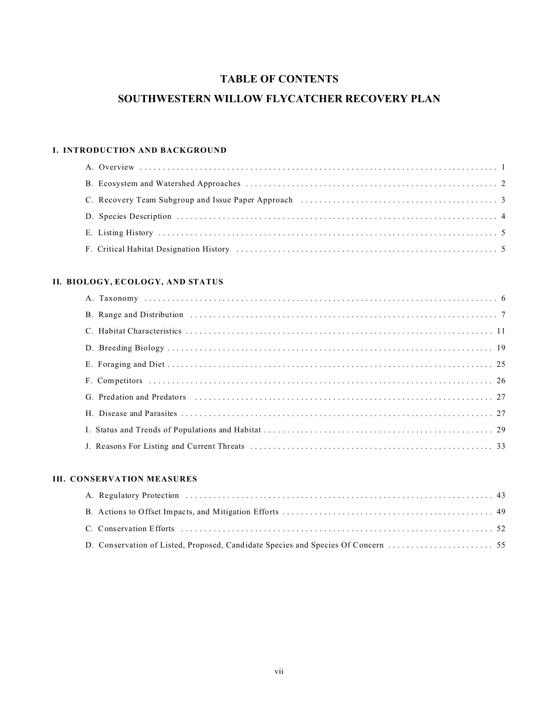# **TABLE OF CONTENTS**

# **SOUTHWESTERN WILLOW FLYCATCHER RECOVERY PLAN**

# **I. INTRODUCTION AND BACKGROUND**

# **II. BIOLOGY, ECOLOGY, AND STATUS**

| G. Predation and Predators (and according to the contract of the contract of the contract of the contract of the contract of the contract of the contract of the contract of the contract of the contract of the contract of t |
|--------------------------------------------------------------------------------------------------------------------------------------------------------------------------------------------------------------------------------|
|                                                                                                                                                                                                                                |
|                                                                                                                                                                                                                                |
|                                                                                                                                                                                                                                |

# **III. CONSERVATION MEASURES**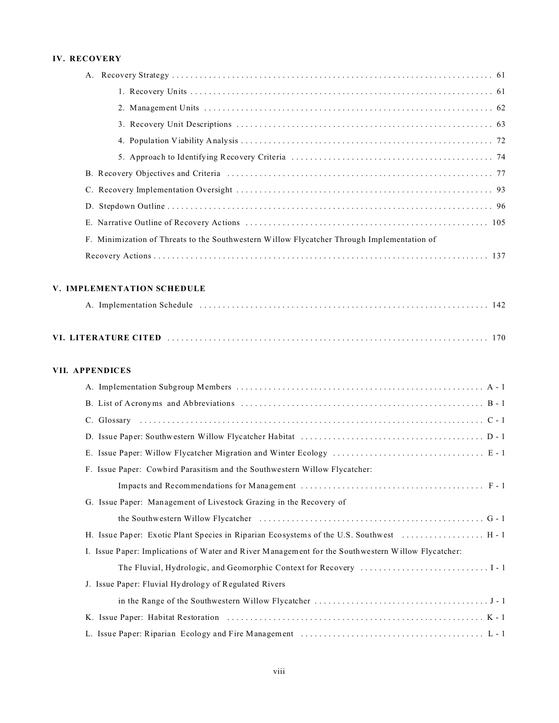# **IV. RECOVERY**

| F. Minimization of Threats to the Southwestern Willow Flycatcher Through Implementation of |
|--------------------------------------------------------------------------------------------|
|                                                                                            |

### **V. IMPLEMENTATION SCHEDULE**

|--|--|--|--|--|

## **VII. APPENDICES**

| F. Issue Paper: Cowbird Parasitism and the Southwestern Willow Flycatcher:                         |
|----------------------------------------------------------------------------------------------------|
|                                                                                                    |
| G. Issue Paper: Management of Livestock Grazing in the Recovery of                                 |
|                                                                                                    |
| H. Issue Paper: Exotic Plant Species in Riparian Ecosystems of the U.S. Southwest  H - 1           |
| I. Issue Paper: Implications of Water and River Management for the Southwestern Willow Flycatcher: |
|                                                                                                    |
| J. Issue Paper: Fluvial Hydrology of Regulated Rivers                                              |
|                                                                                                    |
|                                                                                                    |
|                                                                                                    |